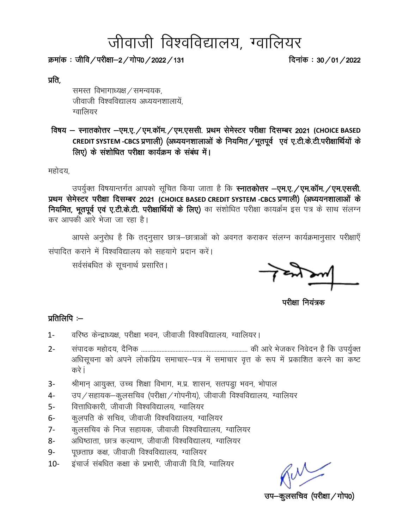# जीवाजी विश्वविद्यालय, ग्वालियर

क्रमांक : जीवि / परीक्षा–2 / गोप0 / 2022 / 131  $\overline{R}$ कमांक : 30 / 01 / 2022

प्रति,

समस्त विभागाध्यक्ष / समन्वयक, जीवाजी विश्वविद्यालय अध्ययनशालायें. ग्वालियर

 fo"k; & LukrdksÙkj &,e-,-@,e-dkWe-@,e-,llh- izFke lse sLVj ijh{kk fnlEcj 2021 **(CHOICE BASED**  CREDIT SYSTEM -CBCS प्रणाली) (अध्ययनशालाओं के नियमित / भूतपूर्व एवं ए.टी.के.टी.परीक्षार्थियों के लिए) के संशोधित परीक्षा कार्यक्रम के संबंध में।

महोदय,

उपर्युक्त विषयान्तर्गत आपको सूचित किया जाता है कि स्नातकोत्तर -एम.ए. /एम.कॉम. /एम.एससी. प्रथम सेमेस्टर परीक्षा दिसम्बर 2021 (CHOICE BASED CREDIT SYSTEM -CBCS प्रणाली) (अध्ययनशालाओं के नियमित, भूतपूर्व एवं ए.टी.के.टी. परीक्षार्थियों के लिए) का संशोधित परीक्षा कायर्क्रम इस पत्र के साथ संलग्न कर आपकी आरे भेजा जा रहा है।

आपसे अनुरोध है कि तद्नुसार छात्र–छात्राओं को अवगत कराकर संलग्न कार्यक्रमानुसार परीक्षाएँ संपादित कराने में विश्वविद्यालय को सहयागे प्रदान करें।

सर्वसंबधित के सूचनार्थ प्रसारित।

.

परीक्षा नियंत्रक

#### प्रतिलिपि $:=$

- 1- वरिष्ठ केन्द्राध्यक्ष, परीक्षा भवन, जीवाजी विश्वविद्यालय, ग्वालियर।
- 2- laiknd egksn;] n Sfud -------------------------------------------------------------------- dh vkjs Hkstdj fuosnu gS fd mi;q ZDr अधिसूचना को अपने लोकप्रिय समाचार-पत्र में समाचार वृत्त के रूप में प्रकाशित करने का कष्ट करे i
- 3- श्रीमान् आयुक्त, उच्च शिक्षा विभाग, म.प्र. शासन, सतपड्रा भवन, भोपाल
- 4- जप/सहायक-कूलसचिव (परीक्षा/गोपनीय), जीवाजी विश्वविद्यालय, ग्वालियर
- 5- वित्ताधिकारी, जीवाजी विश्वविद्यालय, ग्वालियर
- 6- कुलपति के सचिव, जीवाजी विश्वविद्यालय, ग्वालियर
- 7- कुलसचिव के निज सहायक, जीवाजी विश्वविद्यालय, ग्वालियर
- 8- अधिष्ठाता, छात्र कल्याण, जीवाजी विश्वविद्यालय, ग्वालियर
- 9- पृछताछ कक्ष, जीवाजी विश्वविद्यालय, ग्वालियर
- 10- इंचार्ज संबधित कक्षा के प्रभारी, जीवाजी वि.वि, ग्वालियर

कूलसचिव (परीक्षा $\,$ गोप0)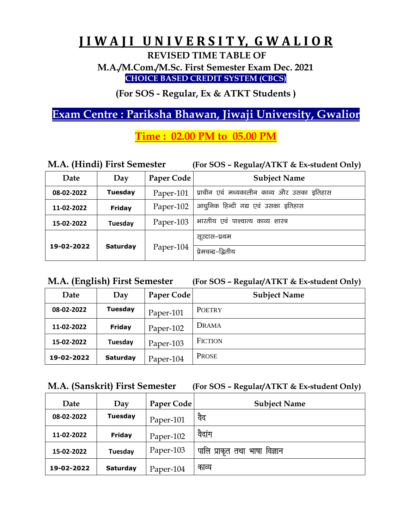## **J I W A J I U N I V E R S I T Y, G W A L I O R**

**REVISED TIME TABLE OF**

**M.A./M.Com./M.Sc. First Semester Exam Dec. 2021 CHOICE BASED CREDIT SYSTEM (CBCS)**

**(For SOS - Regular, Ex & ATKT Students )**

## **Exam Centre : Pariksha Bhawan, Jiwaji University, Gwalior**

## **Time : 02.00 PM to 05.00 PM**

| M.A. (Hindi) First Semester |                 |            | (For SOS - Regular/ATKT & Ex-student Only) |
|-----------------------------|-----------------|------------|--------------------------------------------|
| Date                        | Day             | Paper Code | <b>Subject Name</b>                        |
| 08-02-2022                  | <b>Tuesday</b>  | Paper-101  | प्राचीन एवं मध्यकालीन काव्य और उसका इतिहास |
| 11-02-2022                  | <b>Friday</b>   | Paper-102  | आधुनिक हिन्दी गद्य एवं उसका इतिहास         |
| 15-02-2022                  | Tuesday         | Paper-103  | भारतीय एवं पाश्चात्य काव्य शास्त्र         |
|                             |                 |            | सूरदास–प्रथम                               |
| 19-02-2022                  | <b>Saturday</b> | Paper-104  | प्रेमचन्द्र–द्वितीय                        |

|  |  | M.A. (English) First Semester |
|--|--|-------------------------------|
|--|--|-------------------------------|

**M.A. (English) First Semester (For SOS – Regular/ATKT & Ex-student Only)** 

| Date       | Day             | Paper Code | <b>Subject Name</b> |
|------------|-----------------|------------|---------------------|
| 08-02-2022 | <b>Tuesday</b>  | Paper-101  | <b>POETRY</b>       |
| 11-02-2022 | <b>Friday</b>   | Paper-102  | DRAMA               |
| 15-02-2022 | Tuesday         | Paper-103  | <b>FICTION</b>      |
| 19-02-2022 | <b>Saturday</b> | Paper-104  | <b>PROSE</b>        |

|  |  | M.A. (Sanskrit) First Semester | (For SOS - Regular/ATKT & Ex-student Only) |
|--|--|--------------------------------|--------------------------------------------|
|--|--|--------------------------------|--------------------------------------------|

| Date       | Day             | Paper Code | <b>Subject Name</b>           |
|------------|-----------------|------------|-------------------------------|
| 08-02-2022 | <b>Tuesday</b>  | Paper-101  | वैद                           |
| 11-02-2022 | <b>Friday</b>   | Paper-102  | वैदांग                        |
| 15-02-2022 | Tuesday         | Paper-103  | पालि प्राकृत तथा भाषा विज्ञान |
| 19-02-2022 | <b>Saturday</b> | Paper-104  | काव्य                         |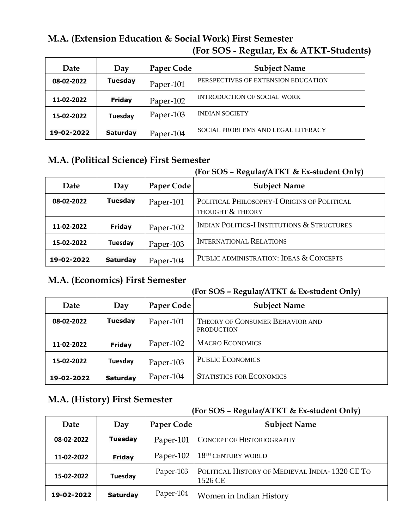### **M.A. (Extension Education & Social Work) First Semester (For SOS - Regular, Ex & ATKT-Students)**

| Date       | Day             | Paper Code | <b>Subject Name</b>                 |
|------------|-----------------|------------|-------------------------------------|
| 08-02-2022 | <b>Tuesday</b>  | Paper-101  | PERSPECTIVES OF EXTENSION EDUCATION |
| 11-02-2022 | Friday          | Paper-102  | <b>INTRODUCTION OF SOCIAL WORK</b>  |
| 15-02-2022 | Tuesday         | Paper-103  | <b>INDIAN SOCIETY</b>               |
| 19-02-2022 | <b>Saturday</b> | Paper-104  | SOCIAL PROBLEMS AND LEGAL LITERACY  |

## **M.A. (Political Science) First Semester**

#### **(For SOS – Regular/ATKT & Ex-student Only)**

| Date       | Day             | Paper Code | <b>Subject Name</b>                                             |
|------------|-----------------|------------|-----------------------------------------------------------------|
| 08-02-2022 | <b>Tuesday</b>  | Paper-101  | POLITICAL PHILOSOPHY-I ORIGINS OF POLITICAL<br>THOUGHT & THEORY |
| 11-02-2022 | <b>Friday</b>   | Paper-102  | <b>INDIAN POLITICS-I INSTITUTIONS &amp; STRUCTURES</b>          |
| 15-02-2022 | Tuesday         | Paper-103  | <b>INTERNATIONAL RELATIONS</b>                                  |
| 19-02-2022 | <b>Saturday</b> | Paper-104  | PUBLIC ADMINISTRATION: IDEAS & CONCEPTS                         |

#### **M.A. (Economics) First Semester**

#### **(For SOS – Regular/ATKT & Ex-student Only)**

| Date       | Day             | Paper Code | <b>Subject Name</b>                                  |
|------------|-----------------|------------|------------------------------------------------------|
| 08-02-2022 | <b>Tuesday</b>  | Paper-101  | THEORY OF CONSUMER BEHAVIOR AND<br><b>PRODUCTION</b> |
| 11-02-2022 | <b>Friday</b>   | Paper-102  | <b>MACRO ECONOMICS</b>                               |
| 15-02-2022 | Tuesday         | Paper-103  | <b>PUBLIC ECONOMICS</b>                              |
| 19-02-2022 | <b>Saturday</b> | Paper-104  | <b>STATISTICS FOR ECONOMICS</b>                      |

#### **M.A. (History) First Semester**

| Date       | Day             | Paper Code | <b>Subject Name</b>                                       |
|------------|-----------------|------------|-----------------------------------------------------------|
| 08-02-2022 | <b>Tuesday</b>  | Paper-101  | CONCEPT OF HISTORIOGRAPHY                                 |
| 11-02-2022 | <b>Friday</b>   | Paper-102  | $18TH$ CENTURY WORLD                                      |
| 15-02-2022 | Tuesday         | Paper-103  | POLITICAL HISTORY OF MEDIEVAL INDIA-1320 CE TO<br>1526 CE |
| 19-02-2022 | <b>Saturday</b> | Paper-104  | Women in Indian History                                   |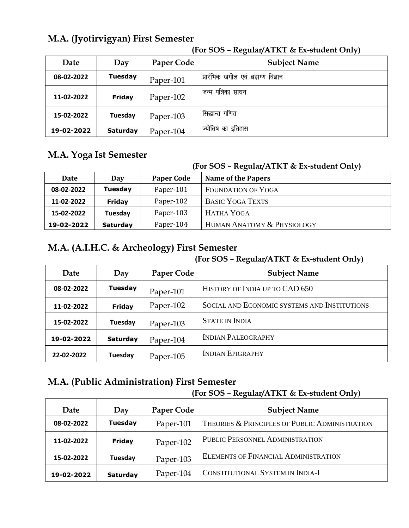## **M.A. (Jyotirvigyan) First Semester**

| Date       | Day             | Paper Code | <b>Subject Name</b>                 |
|------------|-----------------|------------|-------------------------------------|
| 08-02-2022 | <b>Tuesday</b>  | Paper-101  | प्रारंभिक खगोल एवं ब्रहाम्ण विज्ञान |
| 11-02-2022 | <b>Friday</b>   | Paper-102  | पत्रिका साधन<br>जन्म                |
| 15-02-2022 | Tuesday         | Paper-103  | सिद्धान्त गणित                      |
| 19-02-2022 | <b>Saturday</b> | Paper-104  | ज्योतिष का इतिहास                   |

#### **(For SOS – Regular/ATKT & Ex-student Only)**

#### **M.A. Yoga Ist Semester**

#### **(For SOS – Regular/ATKT & Ex-student Only)**

|            |                 |                   | <u>,</u>                   |
|------------|-----------------|-------------------|----------------------------|
| Date       | Day             | <b>Paper Code</b> | <b>Name of the Papers</b>  |
| 08-02-2022 | <b>Tuesday</b>  | Paper-101         | <b>FOUNDATION OF YOGA</b>  |
| 11-02-2022 | Friday          | Paper-102         | <b>BASIC YOGA TEXTS</b>    |
| 15-02-2022 | Tuesday         | Paper-103         | HATHA YOGA                 |
| 19-02-2022 | <b>Saturday</b> | Paper-104         | HUMAN ANATOMY & PHYSIOLOGY |

## **M.A. (A.I.H.C. & Archeology) First Semester**

#### **(For SOS – Regular/ATKT & Ex-student Only)**

| Date       | Day             | Paper Code | <b>Subject Name</b>                          |
|------------|-----------------|------------|----------------------------------------------|
| 08-02-2022 | <b>Tuesday</b>  | Paper-101  | HISTORY OF INDIA UP TO CAD 650               |
| 11-02-2022 | <b>Friday</b>   | Paper-102  | SOCIAL AND ECONOMIC SYSTEMS AND INSTITUTIONS |
| 15-02-2022 | Tuesday         | Paper-103  | <b>STATE IN INDIA</b>                        |
| 19-02-2022 | <b>Saturday</b> | Paper-104  | <b>INDIAN PALEOGRAPHY</b>                    |
| 22-02-2022 | Tuesday         | Paper-105  | <b>INDIAN EPIGRAPHY</b>                      |

#### **M.A. (Public Administration) First Semester**

| Date       | Day             | Paper Code | <b>Subject Name</b>                            |
|------------|-----------------|------------|------------------------------------------------|
| 08-02-2022 | <b>Tuesday</b>  | Paper-101  | THEORIES & PRINCIPLES OF PUBLIC ADMINISTRATION |
| 11-02-2022 | <b>Friday</b>   | Paper-102  | PUBLIC PERSONNEL ADMINISTRATION                |
| 15-02-2022 | Tuesday         | Paper-103  | <b>ELEMENTS OF FINANCIAL ADMINISTRATION</b>    |
| 19-02-2022 | <b>Saturday</b> | Paper-104  | CONSTITUTIONAL SYSTEM IN INDIA-I               |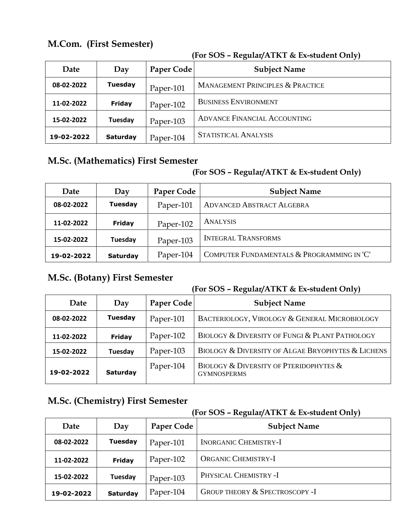### **M.Com. (First Semester)**

|            |                 |                   | ,,,                                         |
|------------|-----------------|-------------------|---------------------------------------------|
| Date       | Day             | <b>Paper Code</b> | <b>Subject Name</b>                         |
| 08-02-2022 | <b>Tuesday</b>  | Paper-101         | <b>MANAGEMENT PRINCIPLES &amp; PRACTICE</b> |
| 11-02-2022 | <b>Friday</b>   | Paper-102         | <b>BUSINESS ENVIRONMENT</b>                 |
| 15-02-2022 | Tuesday         | Paper-103         | ADVANCE FINANCIAL ACCOUNTING                |
| 19-02-2022 | <b>Saturday</b> | Paper-104         | <b>STATISTICAL ANALYSIS</b>                 |

#### **(For SOS – Regular/ATKT & Ex-student Only)**

## **M.Sc. (Mathematics) First Semester**

#### **(For SOS – Regular/ATKT & Ex-student Only)**

| Date       | Day             | Paper Code | <b>Subject Name</b>                        |
|------------|-----------------|------------|--------------------------------------------|
| 08-02-2022 | <b>Tuesday</b>  | Paper-101  | <b>ADVANCED ABSTRACT ALGEBRA</b>           |
| 11-02-2022 | Friday          | Paper-102  | <b>ANALYSIS</b>                            |
| 15-02-2022 | Tuesday         | Paper-103  | <b>INTEGRAL TRANSFORMS</b>                 |
| 19-02-2022 | <b>Saturday</b> | Paper-104  | COMPUTER FUNDAMENTALS & PROGRAMMING IN 'C' |

### **M.Sc. (Botany) First Semester**

#### **(For SOS – Regular/ATKT & Ex-student Only)**

|            |                 |            | <u>,</u>                                                                    |
|------------|-----------------|------------|-----------------------------------------------------------------------------|
| Date       | Day             | Paper Code | <b>Subject Name</b>                                                         |
| 08-02-2022 | <b>Tuesday</b>  | Paper-101  | BACTERIOLOGY, VIROLOGY & GENERAL MICROBIOLOGY                               |
| 11-02-2022 | <b>Friday</b>   | Paper-102  | BIOLOGY & DIVERSITY OF FUNGI & PLANT PATHOLOGY                              |
| 15-02-2022 | Tuesday         | Paper-103  | BIOLOGY & DIVERSITY OF ALGAE BRYOPHYTES & LICHENS                           |
| 19-02-2022 | <b>Saturday</b> | Paper-104  | <b>BIOLOGY &amp; DIVERSITY OF PTERIDOPHYTES &amp;</b><br><b>GYMNOSPERMS</b> |

## **M.Sc. (Chemistry) First Semester**

| Date       | Day             | Paper Code | <b>Subject Name</b>                       |
|------------|-----------------|------------|-------------------------------------------|
| 08-02-2022 | <b>Tuesday</b>  | Paper-101  | <b>INORGANIC CHEMISTRY-I</b>              |
| 11-02-2022 | <b>Friday</b>   | Paper-102  | <b>ORGANIC CHEMISTRY-I</b>                |
| 15-02-2022 | Tuesday         | Paper-103  | PHYSICAL CHEMISTRY -I                     |
| 19-02-2022 | <b>Saturday</b> | Paper-104  | <b>GROUP THEORY &amp; SPECTROSCOPY -I</b> |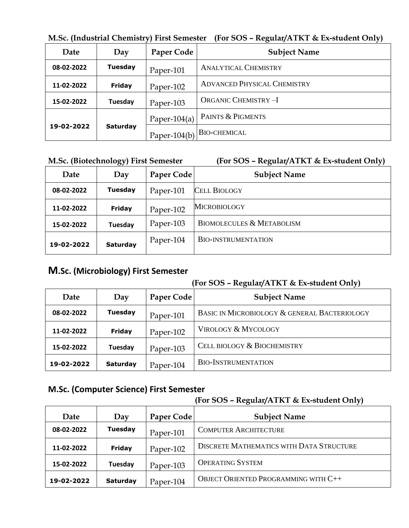|            |                 | <u>w.oc.</u> (maasinal Chemistry) Thist ochicsici | $\mu$ u 909 – Regulai/ITRT & Ex-student Only) |
|------------|-----------------|---------------------------------------------------|-----------------------------------------------|
| Date       | Day             | Paper Code                                        | <b>Subject Name</b>                           |
| 08-02-2022 | <b>Tuesday</b>  | Paper-101                                         | <b>ANALYTICAL CHEMISTRY</b>                   |
| 11-02-2022 | <b>Friday</b>   | Paper-102                                         | <b>ADVANCED PHYSICAL CHEMISTRY</b>            |
| 15-02-2022 | Tuesday         | Paper-103                                         | <b>ORGANIC CHEMISTRY-I</b>                    |
|            | <b>Saturday</b> | Paper-104(a)                                      | <b>PAINTS &amp; PIGMENTS</b>                  |
| 19-02-2022 |                 | Paper- $104(b)$                                   | <b>BIO-CHEMICAL</b>                           |

**M.Sc. (Industrial Chemistry) First Semester (For SOS – Regular/ATKT & Ex-student Only)** 

#### **M.Sc. (Biotechnology) First Semester (For SOS – Regular/ATKT & Ex-student Only)**

| Date       | Day             | <b>Paper Code</b> | <b>Subject Name</b>                  |
|------------|-----------------|-------------------|--------------------------------------|
| 08-02-2022 | <b>Tuesday</b>  | Paper-101         | <b>CELL BIOLOGY</b>                  |
| 11-02-2022 | <b>Friday</b>   | Paper-102         | <b>MICROBIOLOGY</b>                  |
| 15-02-2022 | Tuesday         | Paper-103         | <b>BIOMOLECULES &amp; METABOLISM</b> |
| 19-02-2022 | <b>Saturday</b> | Paper-104         | <b>BIO-INSTRUMENTATION</b>           |

#### **M.Sc. (Microbiology) First Semester**

#### **(For SOS – Regular/ATKT & Ex-student Only)**

| Date       | Day             | Paper Code | <b>Subject Name</b>                          |
|------------|-----------------|------------|----------------------------------------------|
| 08-02-2022 | <b>Tuesday</b>  | Paper-101  | BASIC IN MICROBIOLOGY & GENERAL BACTERIOLOGY |
| 11-02-2022 | <b>Friday</b>   | Paper-102  | <b>VIROLOGY &amp; MYCOLOGY</b>               |
| 15-02-2022 | Tuesday         | Paper-103  | CELL BIOLOGY & BIOCHEMISTRY                  |
| 19-02-2022 | <b>Saturday</b> | Paper-104  | <b>BIO-INSTRUMENTATION</b>                   |

#### **M.Sc. (Computer Science) First Semester**

| Date       | Day            | Paper Code | <b>Subject Name</b>                         |
|------------|----------------|------------|---------------------------------------------|
| 08-02-2022 | <b>Tuesday</b> | Paper-101  | <b>COMPUTER ARCHITECTURE</b>                |
| 11-02-2022 | <b>Friday</b>  | Paper-102  | DISCRETE MATHEMATICS WITH DATA STRUCTURE    |
| 15-02-2022 | Tuesday        | Paper-103  | <b>OPERATING SYSTEM</b>                     |
| 19-02-2022 | Saturday       | Paper-104  | <b>OBJECT ORIENTED PROGRAMMING WITH C++</b> |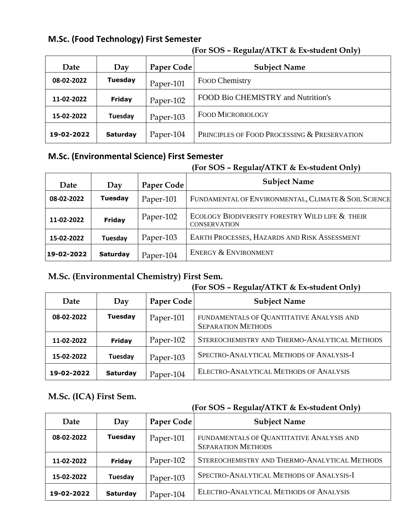#### **M.Sc. (Food Technology) First Semester**

| Date       | Day             | Paper Code | <b>Subject Name</b>                          |
|------------|-----------------|------------|----------------------------------------------|
| 08-02-2022 | <b>Tuesday</b>  | Paper-101  | Food Chemistry                               |
| 11-02-2022 | <b>Friday</b>   | Paper-102  | FOOD Bio CHEMISTRY and Nutrition's           |
| 15-02-2022 | Tuesday         | Paper-103  | <b>FOOD MICROBIOLOGY</b>                     |
| 19-02-2022 | <b>Saturday</b> | Paper-104  | PRINCIPLES OF FOOD PROCESSING & PRESERVATION |

#### **(For SOS – Regular/ATKT & Ex-student Only)**

#### **M.Sc. (Environmental Science) First Semester**

#### **(For SOS – Regular/ATKT & Ex-student Only)**

| Date       | Day             | Paper Code | <b>Subject Name</b>                                                    |
|------------|-----------------|------------|------------------------------------------------------------------------|
| 08-02-2022 | <b>Tuesday</b>  | Paper-101  | FUNDAMENTAL OF ENVIRONMENTAL, CLIMATE & SOIL SCIENCE                   |
| 11-02-2022 | <b>Friday</b>   | Paper-102  | ECOLOGY BIODIVERSITY FORESTRY WILD LIFE & THEIR<br><b>CONSERVATION</b> |
| 15-02-2022 | Tuesday         | Paper-103  | EARTH PROCESSES, HAZARDS AND RISK ASSESSMENT                           |
| 19-02-2022 | <b>Saturday</b> | Paper-104  | ENERGY & ENVIRONMENT                                                   |
|            |                 |            |                                                                        |

#### **M.Sc. (Environmental Chemistry) First Sem.**

#### **(For SOS – Regular/ATKT & Ex-student Only)**

| Date       | Day             | Paper Code | JI.<br><b>Subject Name</b>                                             |
|------------|-----------------|------------|------------------------------------------------------------------------|
| 08-02-2022 | <b>Tuesday</b>  | Paper-101  | FUNDAMENTALS OF QUANTITATIVE ANALYSIS AND<br><b>SEPARATION METHODS</b> |
| 11-02-2022 | <b>Friday</b>   | Paper-102  | STEREOCHEMISTRY AND THERMO-ANALYTICAL METHODS                          |
| 15-02-2022 | Tuesday         | Paper-103  | SPECTRO-ANALYTICAL METHODS OF ANALYSIS-I                               |
| 19-02-2022 | <b>Saturday</b> | Paper-104  | ELECTRO-ANALYTICAL METHODS OF ANALYSIS                                 |

#### **M.Sc. (ICA) First Sem.**

| Date       | Day             | Paper Code | <b>Subject Name</b>                                                    |
|------------|-----------------|------------|------------------------------------------------------------------------|
| 08-02-2022 | <b>Tuesday</b>  | Paper-101  | FUNDAMENTALS OF QUANTITATIVE ANALYSIS AND<br><b>SEPARATION METHODS</b> |
| 11-02-2022 | <b>Friday</b>   | Paper-102  | STEREOCHEMISTRY AND THERMO-ANALYTICAL METHODS                          |
| 15-02-2022 | Tuesday         | Paper-103  | SPECTRO-ANALYTICAL METHODS OF ANALYSIS-I                               |
| 19-02-2022 | <b>Saturday</b> | Paper-104  | ELECTRO-ANALYTICAL METHODS OF ANALYSIS                                 |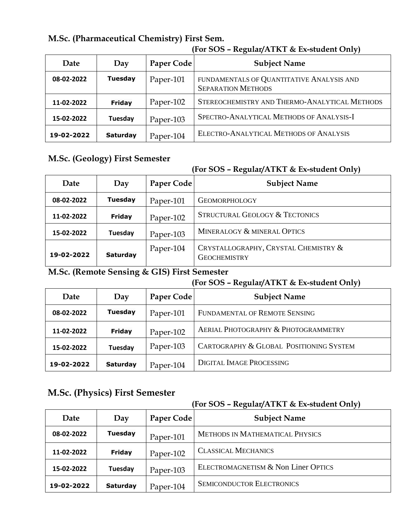| M.Sc. (Pharmaceutical Chemistry) First Sem. |  |
|---------------------------------------------|--|
|---------------------------------------------|--|

| Date       | Day             | Paper Code | <b>Subject Name</b>                                                    |
|------------|-----------------|------------|------------------------------------------------------------------------|
| 08-02-2022 | <b>Tuesday</b>  | Paper-101  | FUNDAMENTALS OF QUANTITATIVE ANALYSIS AND<br><b>SEPARATION METHODS</b> |
| 11-02-2022 | <b>Friday</b>   | Paper-102  | STEREOCHEMISTRY AND THERMO-ANALYTICAL METHODS                          |
| 15-02-2022 | Tuesday         | Paper-103  | SPECTRO-ANALYTICAL METHODS OF ANALYSIS-I                               |
| 19-02-2022 | <b>Saturday</b> | Paper-104  | ELECTRO-ANALYTICAL METHODS OF ANALYSIS                                 |

#### **(For SOS – Regular/ATKT & Ex-student Only)**

#### **M.Sc. (Geology) First Semester**

#### **(For SOS – Regular/ATKT & Ex-student Only)**

| Date       | Day             | Paper Code | <b>Subject Name</b>                                         |
|------------|-----------------|------------|-------------------------------------------------------------|
| 08-02-2022 | <b>Tuesday</b>  | Paper-101  | <b>GEOMORPHOLOGY</b>                                        |
| 11-02-2022 | Friday          | Paper-102  | <b>STRUCTURAL GEOLOGY &amp; TECTONICS</b>                   |
| 15-02-2022 | Tuesday         | Paper-103  | MINERALOGY & MINERAL OPTICS                                 |
| 19-02-2022 | <b>Saturday</b> | Paper-104  | CRYSTALLOGRAPHY, CRYSTAL CHEMISTRY &<br><b>GEOCHEMISTRY</b> |

#### **M.Sc. (Remote Sensing & GIS) First Semester**

#### **(For SOS – Regular/ATKT & Ex-student Only)**

| Date       | Day             | Paper Code | <b>Subject Name</b>                     |
|------------|-----------------|------------|-----------------------------------------|
| 08-02-2022 | <b>Tuesday</b>  | Paper-101  | FUNDAMENTAL OF REMOTE SENSING           |
| 11-02-2022 | Friday          | Paper-102  | AERIAL PHOTOGRAPHY & PHOTOGRAMMETRY     |
| 15-02-2022 | Tuesday         | Paper-103  | CARTOGRAPHY & GLOBAL POSITIONING SYSTEM |
| 19-02-2022 | <b>Saturday</b> | Paper-104  | <b>DIGITAL IMAGE PROCESSING</b>         |

#### **M.Sc. (Physics) First Semester**

| Date       | Day             | Paper Code | <b>Subject Name</b>                    |
|------------|-----------------|------------|----------------------------------------|
| 08-02-2022 | <b>Tuesday</b>  | Paper-101  | <b>METHODS IN MATHEMATICAL PHYSICS</b> |
| 11-02-2022 | Friday          | Paper-102  | <b>CLASSICAL MECHANICS</b>             |
| 15-02-2022 | Tuesday         | Paper-103  | ELECTROMAGNETISM & Non Liner OPTICS    |
| 19-02-2022 | <b>Saturday</b> | Paper-104  | <b>SEMICONDUCTOR ELECTRONICS</b>       |